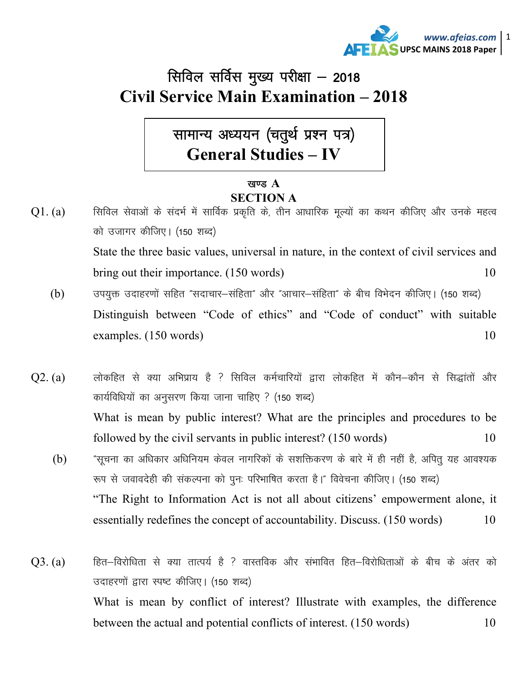

# सिविल सर्विस मुख्य परीक्षा - 2018 **Civil Service Main Examination - 2018**

सामान्य अध्ययन (चतुर्थ प्रश्न पत्र) **General Studies - IV** 

#### खण्ड $A$ **SECTION A**

- $Q1. (a)$ सिविल सेवाओं के संदर्भ में सार्विक प्रकृति के, तीन आधारिक मूल्यों का कथन कीजिए और उनके महत्व को उजागर कीजिए। (150 शब्द) State the three basic values, universal in nature, in the context of civil services and bring out their importance. (150 words) 10
	- उपयुक्त उदाहरणों सहित "सदाचार-संहिता" और "आचार-संहिता" के बीच विभेदन कीजिए। (150 शब्द)  $(b)$ Distinguish between "Code of ethics" and "Code of conduct" with suitable examples. (150 words) 10
- लोकहित से क्या अभिप्राय है ? सिविल कर्मचारियों द्वारा लोकहित में कौन—कौन से सिद्धांतों और  $Q2. (a)$ कार्यविधियों का अनुसरण किया जाना चाहिए ? (150 शब्द) What is mean by public interest? What are the principles and procedures to be 10 followed by the civil servants in public interest? (150 words)
	- "सूचना का अधिकार अधिनियम केवल नागरिकों के सशक्तिकरण के बारे में ही नहीं है, अपितु यह आवश्यक (b) रूप से जवावदेही की संकल्पना को पूनः परिभाषित करता है।" विवेचना कीजिए। (150 शब्द) "The Right to Information Act is not all about citizens' empowerment alone, it essentially redefines the concept of accountability. Discuss. (150 words) 10
- हित–विरोधिता से क्या तात्पर्य है ? वास्तविक और संभावित हित–विरोधिताओं के बीच के अंतर को  $Q3. (a)$ उदाहरणों द्वारा स्पष्ट कीजिए। (150 शब्द) What is mean by conflict of interest? Illustrate with examples, the difference between the actual and potential conflicts of interest. (150 words) 10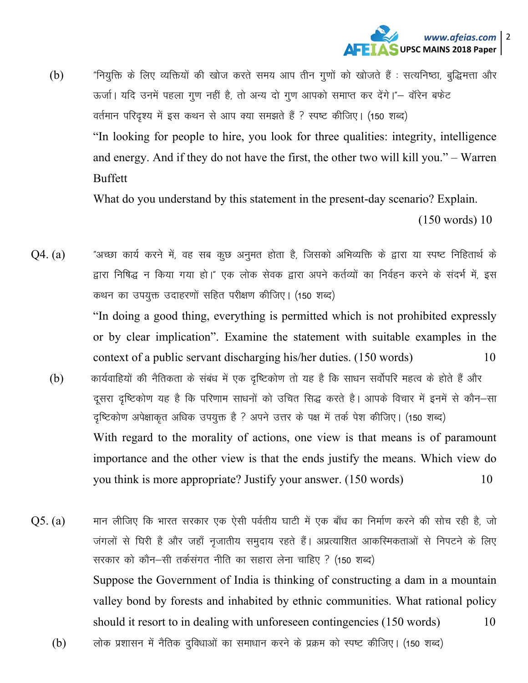

"नियूक्ति के लिए व्यक्तियों की खोज करते समय आप तीन गूणों को खोजते हैं : सत्यनिष्ठा, बुद्धिमत्ता और  $(b)$ ऊर्जा। यदि उनमें पहला गुण नहीं है, तो अन्य दो गुण आपको समाप्त कर देंगे।"– वॉरेन बफेट वर्तमान परिदृश्य में इस कथन से आप क्या समझते हैं ? स्पष्ट कीजिए। (150 शब्द) "In looking for people to hire, you look for three qualities: integrity, intelligence and energy. And if they do not have the first, the other two will kill you." - Warren **Buffett** 

What do you understand by this statement in the present-day scenario? Explain.

 $(150 \text{ words}) 10$ 

- $Q4. (a)$ "अच्छा कार्य करने में, वह सब कूछ अनुमत होता है, जिसको अभिव्यक्ति के द्वारा या स्पष्ट निहितार्थ के द्वारा निषिद्ध न किया गया हो।" एक लोक सेवक द्वारा अपने कर्तव्यों का निर्वहन करने के संदर्भ में, इस कथन का उपयुक्त उदाहरणों सहित परीक्षण कीजिए। (150 शब्द) "In doing a good thing, everything is permitted which is not prohibited expressly or by clear implication". Examine the statement with suitable examples in the context of a public servant discharging his/her duties. (150 words)  $10<sup>1</sup>$ कार्यवाहियों की नैतिकता के संबंध में एक दृष्टिकोण तो यह है कि साधन सर्वोपरि महत्व के होते हैं और  $(b)$ दूसरा दृष्टिकोण यह है कि परिणाम साधनों को उचित सिद्ध करते है। आपके विचार में इनमें से कौन–सा दृष्टिकोण अपेक्षाकृत अधिक उपयुक्त है ? अपने उत्तर के पक्ष में तर्क पेश कीजिए। (150 शब्द) With regard to the morality of actions, one view is that means is of paramount importance and the other view is that the ends justify the means. Which view do
	- you think is more appropriate? Justify your answer. (150 words) 10
- $Q5. (a)$ मान लीजिए कि भारत सरकार एक ऐसी पर्वतीय घाटी में एक बाँध का निर्माण करने की सोच रही है, जो जंगलों से घिरी है और जहाँ नृजातीय समुदाय रहते हैं। अप्रत्याशित आकस्मिकताओं से निपटने के लिए सरकार को कौन–सी तर्कसंगत नीति का सहारा लेना चाहिए ? (150 शब्द) Suppose the Government of India is thinking of constructing a dam in a mountain valley bond by forests and inhabited by ethnic communities. What rational policy should it resort to in dealing with unforeseen contingencies (150 words) 10
	- लोक प्रशासन में नैतिक दुविधाओं का समाधान करने के प्रक्रम को स्पष्ट कीजिए। (150 शब्द)  $(b)$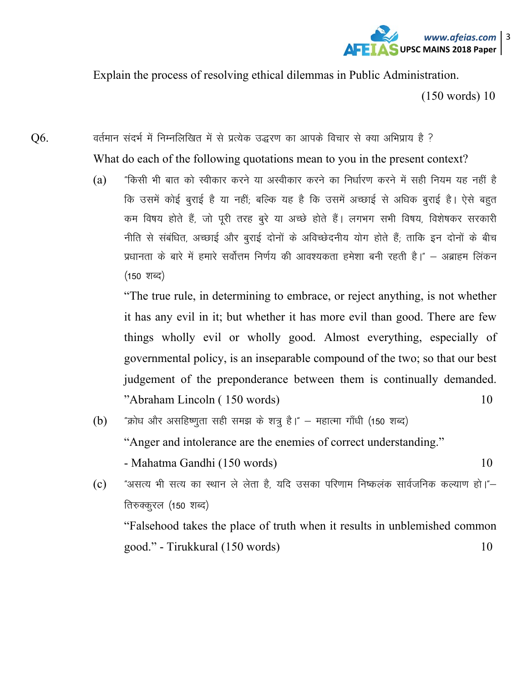

Explain the process of resolving ethical dilemmas in Public Administration.

 $(150 \text{ words}) 10$ 

10

Q6. वर्तमान संदर्भ में निम्नलिखित में से प्रत्येक उद्धरण का आपके विचार से क्या अभिप्राय है ? What do each of the following quotations mean to you in the present context?

> "किसी भी बात को स्वीकार करने या अस्वीकार करने का निर्धारण करने में सही नियम यह नहीं है  $(a)$ कि उसमें कोई बराई है या नहीं; बल्कि यह है कि उसमें अच्छाई से अधिक बराई है। ऐसे बहुत कम विषय होते हैं, जो पूरी तरह बूरे या अच्छे होते हैं। लगभग सभी विषय, विशेषकर सरकारी नीति से संबंधित, अच्छाई और बुराई दोनों के अविच्छेदनीय योग होते हैं; ताकि इन दोनों के बीच प्रधानता के बारे में हमारे सर्वोत्तम निर्णय की आवश्यकता हमेशा बनी रहती है।" – अब्राहम लिंकन  $(150 \; \text{Y} \cdot \text{W})$

"The true rule, in determining to embrace, or reject anything, is not whether it has any evil in it; but whether it has more evil than good. There are few things wholly evil or wholly good. Almost everything, especially of governmental policy, is an inseparable compound of the two; so that our best judgement of the preponderance between them is continually demanded. 10 "Abraham Lincoln (150 words)

- "क्रोध और असहिष्णूता सही समझ के शत्रू है।" महात्मा गाँधी (150 शब्द) (b) "Anger and intolerance are the enemies of correct understanding." - Mahatma Gandhi (150 words)
- "असत्य भी सत्य का स्थान ले लेता है, यदि उसका परिणाम निष्कलंक सार्वजनिक कल्याण हो।"–  $(c)$ तिरुक्कुरल (150 शब्द) "Falsehood takes the place of truth when it results in unblemished common good." - Tirukkural (150 words) 10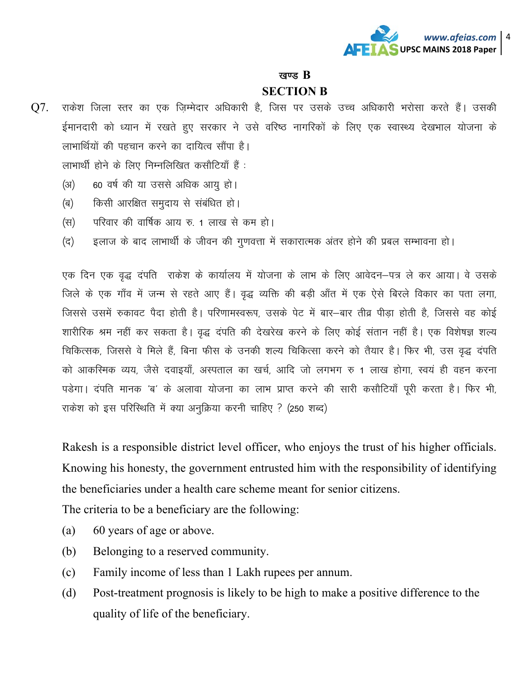

## खण्ड  $$

### **SECTION B**

- राकेश जिला स्तर का एक जिम्मेदार अधिकारी है, जिस पर उसके उच्च अधिकारी भरोसा करते हैं। उसकी O7. ईमानदारी को ध्यान में रखते हुए सरकार ने उसे वरिष्ठ नागरिकों के लिए एक स्वास्थ्य देखभाल योजना के लाभार्थियों की पहचान करने का दायित्व सौंपा है। लाभार्थी होने के लिए निम्नलिखित कसौटियाँ हैं :
	- 60 वर्ष की या उससे अधिक आयु हो।  $(3)$
	- किसी आरक्षित समुदाय से संबंधित हो। (ब)
	- परिवार की वार्षिक आय रु. 1 लाख से कम हो। (स)
	- इलाज के बाद लाभार्थी के जीवन की गुणवत्ता में सकारात्मक अंतर होने की प्रबल सम्भावना हो। (द)

एक दिन एक वृद्ध दंपति राकेश के कार्यालय में योजना के लाभ के लिए आवेदन–पत्र ले कर आया। वे उसके जिले के एक गाँव में जन्म से रहते आए हैं। वृद्ध व्यक्ति की बड़ी आँत में एक ऐसे बिरले विकार का पता लगा, जिससे उसमें रुकावट पैदा होती है। परिणामस्वरूप, उसके पेट में बार–बार तीव्र पीड़ा होती है, जिससे वह कोई शारीरिक श्रम नहीं कर सकता है। वृद्ध दंपति की देखरेख करने के लिए कोई संतान नहीं है। एक विशेषज्ञ शल्य चिकित्सक, जिससे वे मिले हैं, बिना फीस के उनकी शल्य चिकित्सा करने को तैयार है। फिर भी, उस वृद्ध दंपति को आकस्मिक व्यय, जैसे दवाइयाँ, अस्पताल का खर्च, आदि जो लगभग रु 1 लाख होगा, स्वयं ही वहन करना पड़ेगा। दंपति मानक 'ब' के अलावा योजना का लाभ प्राप्त करने की सारी कसौटियाँ पूरी करता है। फिर भी, राकेश को इस परिस्थिति में क्या अनुक्रिया करनी चाहिए ? (250 शब्द)

Rakesh is a responsible district level officer, who enjoys the trust of his higher officials. Knowing his honesty, the government entrusted him with the responsibility of identifying the beneficiaries under a health care scheme meant for senior citizens.

The criteria to be a beneficiary are the following:

- 60 years of age or above. (a)
- $(b)$ Belonging to a reserved community.
- $(c)$ Family income of less than 1 Lakh rupees per annum.
- Post-treatment prognosis is likely to be high to make a positive difference to the  $(d)$ quality of life of the beneficiary.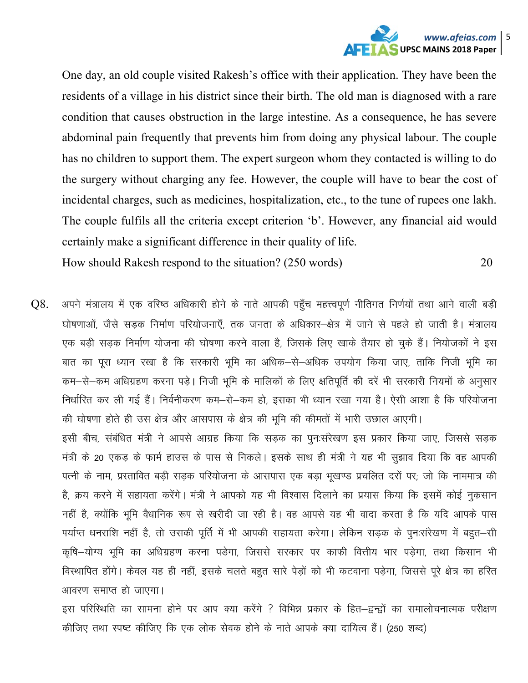

One day, an old couple visited Rakesh's office with their application. They have been the residents of a village in his district since their birth. The old man is diagnosed with a rare condition that causes obstruction in the large intestine. As a consequence, he has severe abdominal pain frequently that prevents him from doing any physical labour. The couple has no children to support them. The expert surgeon whom they contacted is willing to do the surgery without charging any fee. However, the couple will have to bear the cost of incidental charges, such as medicines, hospitalization, etc., to the tune of rupees one lakh. The couple fulfils all the criteria except criterion 'b'. However, any financial aid would certainly make a significant difference in their quality of life. 20

How should Rakesh respond to the situation? (250 words)

Q8. अपने मंत्रालय में एक वरिष्ठ अधिकारी होने के नाते आपकी पहुँच महत्त्वपूर्ण नीतिगत निर्णयों तथा आने वाली बड़ी घोषणाओं, जैसे सड़क निर्माण परियोजनाएँ, तक जनता के अधिकार–क्षेत्र में जाने से पहले हो जाती है। मंत्रालय एक बड़ी सड़क निर्माण योजना की घोषणा करने वाला है, जिसके लिए खाके तैयार हो चुके हैं। नियोजकों ने इस बात का पूरा ध्यान रखा है कि सरकारी भूमि का अधिक–से–अधिक उपयोग किया जाए, ताकि निजी भूमि का कम-से-कम अधिग्रहण करना पड़े। निजी भूमि के मालिकों के लिए क्षतिपूर्ति की दरें भी सरकारी नियमों के अनुसार निर्धारित कर ली गई हैं। निर्वनीकरण कम–से–कम हो, इसका भी ध्यान रखा गया है। ऐसी आशा है कि परियोजना की घोषणा होते ही उस क्षेत्र और आसपास के क्षेत्र की भूमि की कीमतों में भारी उछाल आएगी।

इसी बीच, संबंधित मंत्री ने आपसे आग्रह किया कि सड़क का पुनःसंरेखण इस प्रकार किया जाए, जिससे सड़क मंत्री के 20 एकड़ के फार्म हाउस के पास से निकले। इसके साथ ही मंत्री ने यह भी सूझाव दिया कि वह आपकी पत्नी के नाम, प्रस्तावित बड़ी सड़क परियोजना के आसपास एक बड़ा भूखण्ड प्रचलित दरों पर; जो कि नाममात्र की है, क्रय करने में सहायता करेंगे। मंत्री ने आपको यह भी विश्वास दिलाने का प्रयास किया कि इसमें कोई नुकसान नहीं है, क्योंकि भूमि वैधानिक रूप से खरीदी जा रही है। वह आपसे यह भी वादा करता है कि यदि आपके पास पर्याप्त धनराशि नहीं है, तो उसकी पूर्ति में भी आपकी सहायता करेगा। लेकिन सड़क के पुनःसंरेखण में बहुत–सी कृषि–योग्य भूमि का अधिग्रहण करना पडेगा, जिससे सरकार पर काफी वित्तीय भार पड़ेगा, तथा किसान भी विस्थापित होंगे। केवल यह ही नहीं, इसके चलते बहुत सारे पेड़ों को भी कटवाना पड़ेगा, जिससे पूरे क्षेत्र का हरित आवरण समाप्त हो जाएगा।

इस परिस्थिति का सामना होने पर आप क्या करेंगे ? विभिन्न प्रकार के हित–द्वन्द्वों का समालोचनात्मक परीक्षण कीजिए तथा स्पष्ट कीजिए कि एक लोक सेवक होने के नाते आपके क्या दायित्व हैं। (250 शब्द)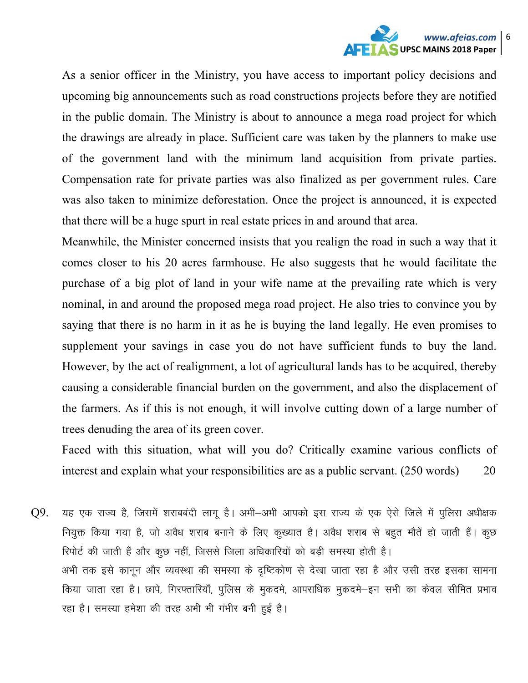

As a senior officer in the Ministry, you have access to important policy decisions and upcoming big announcements such as road constructions projects before they are notified in the public domain. The Ministry is about to announce a mega road project for which the drawings are already in place. Sufficient care was taken by the planners to make use of the government land with the minimum land acquisition from private parties. Compensation rate for private parties was also finalized as per government rules. Care was also taken to minimize deforestation. Once the project is announced, it is expected that there will be a huge spurt in real estate prices in and around that area.

Meanwhile, the Minister concerned insists that you realign the road in such a way that it comes closer to his 20 acres farmhouse. He also suggests that he would facilitate the purchase of a big plot of land in your wife name at the prevailing rate which is very nominal, in and around the proposed mega road project. He also tries to convince you by saying that there is no harm in it as he is buying the land legally. He even promises to supplement your savings in case you do not have sufficient funds to buy the land. However, by the act of realignment, a lot of agricultural lands has to be acquired, thereby causing a considerable financial burden on the government, and also the displacement of the farmers. As if this is not enough, it will involve cutting down of a large number of trees denuding the area of its green cover.

Faced with this situation, what will you do? Critically examine various conflicts of interest and explain what your responsibilities are as a public servant. (250 words) 20

 $O9$ . यह एक राज्य है, जिसमें शराबबंदी लाग है। अभी–अभी आपको इस राज्य के एक ऐसे जिले में पुलिस अधीक्षक नियुक्त किया गया है, जो अवैध शराब बनाने के लिए कुख्यात है। अवैध शराब से बहुत मौतें हो जाती हैं। कूछ रिपोर्ट की जाती हैं और कूछ नहीं, जिससे जिला अधिकारियों को बड़ी समस्या होती है। अभी तक इसे कानून और व्यवस्था की समस्या के दृष्टिकोण से देखा जाता रहा है और उसी तरह इसका सामना किया जाता रहा है। छापे, गिरफ्तारियाँ, पुलिस के मुकदमे, आपराधिक मुकदमे–इन सभी का केवल सीमित प्रभाव रहा है। समस्या हमेशा की तरह अभी भी गंभीर बनी हुई है।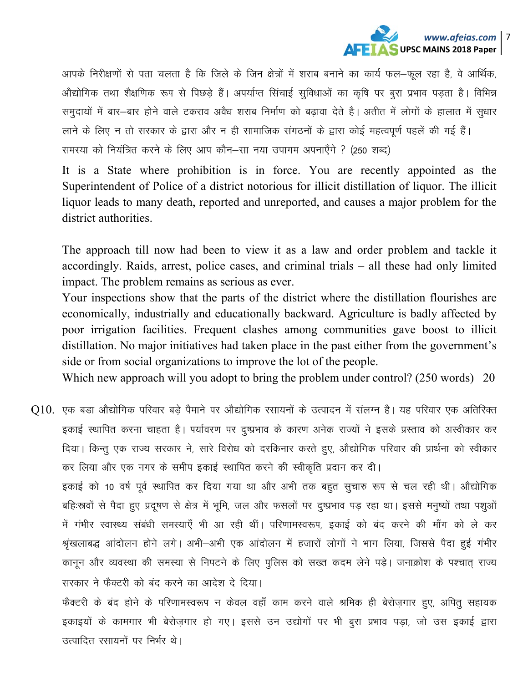

आपके निरीक्षणों से पता चलता है कि जिले के जिन क्षेत्रों में शराब बनाने का कार्य फल-फूल रहा है, वे आर्थिक, ओद्योगिक तथा शैक्षणिक रूप से पिछड़े हैं। अपर्याप्त सिंचाई सुविधाओं का कृषि पर बूरा प्रभाव पड़ता है। विभिन्न समुदायों में बार-बार होने वाले टकराव अवैध शराब निर्माण को बढ़ावा देते है। अतीत में लोगों के हालात में सुधार लाने के लिए न तो सरकार के द्वारा और न ही सामाजिक संगठनों के द्वारा कोई महत्वपूर्ण पहलें की गई हैं। समस्या को नियंत्रित करने के लिए आप कौन–सा नया उपागम अपनाएँगे ? (250 शब्द)

It is a State where prohibition is in force. You are recently appointed as the Superintendent of Police of a district notorious for illicit distillation of liquor. The illicit liquor leads to many death, reported and unreported, and causes a major problem for the district authorities.

The approach till now had been to view it as a law and order problem and tackle it accordingly. Raids, arrest, police cases, and criminal trials – all these had only limited impact. The problem remains as serious as ever.

Your inspections show that the parts of the district where the distillation flourishes are economically, industrially and educationally backward. Agriculture is badly affected by poor irrigation facilities. Frequent clashes among communities gave boost to illicit distillation. No major initiatives had taken place in the past either from the government's side or from social organizations to improve the lot of the people.

Which new approach will you adopt to bring the problem under control? (250 words) 20

 $Q10$ . एक बड़ा औद्योगिक परिवार बड़े पैमाने पर औद्योगिक रसायनों के उत्पादन में संलग्न है। यह परिवार एक अतिरिक्त इकाई स्थापित करना चाहता है। पर्यावरण पर दुष्प्रभाव के कारण अनेक राज्यों ने इसके प्रस्ताव को अस्वीकार कर दिया। किन्तु एक राज्य सरकार ने, सारे विरोध को दरकिनार करते हुए, औद्योगिक परिवार की प्रार्थना को स्वीकार कर लिया और एक नगर के समीप इकाई स्थापित करने की स्वीकृति प्रदान कर दी।

इकाई को 10 वर्ष पूर्व स्थापित कर दिया गया था और अभी तक बहुत सुचारु रूप से चल रही थी। औद्योगिक बहिःस्त्रवों से पैदा हुए प्रदूषण से क्षेत्र में भूमि, जल और फसलों पर दूष्प्रभाव पड़ रहा था। इससे मनुष्यों तथा पशुओं में गंभीर स्वास्थ्य संबंधी समस्याएँ भी आ रही थीं। परिणामस्वरूप, इकाई को बंद करने की माँग को ले कर श्रृंखलाबद्ध आंदोलन होने लगे। अभी–अभी एक आंदोलन में हजारों लोगों ने भाग लिया, जिससे पैदा हुई गंभीर कानून और व्यवस्था की समस्या से निपटने के लिए पुलिस को सख्त कदम लेने पड़े। जनाक्रोश के पश्चात् राज्य सरकार ने फैक्टरी को बंद करने का आदेश दे दिया।

फैक्टरी के बंद होने के परिणामस्वरूप न केवल वहाँ काम करने वाले श्रमिक ही बेरोज़गार हुए, अपितू सहायक इकाइयों के कामगार भी बेरोज़गार हो गए। इससे उन उद्योगों पर भी बुरा प्रभाव पड़ा, जो उस इकाई द्वारा उत्पादित रसायनों पर निर्भर थे।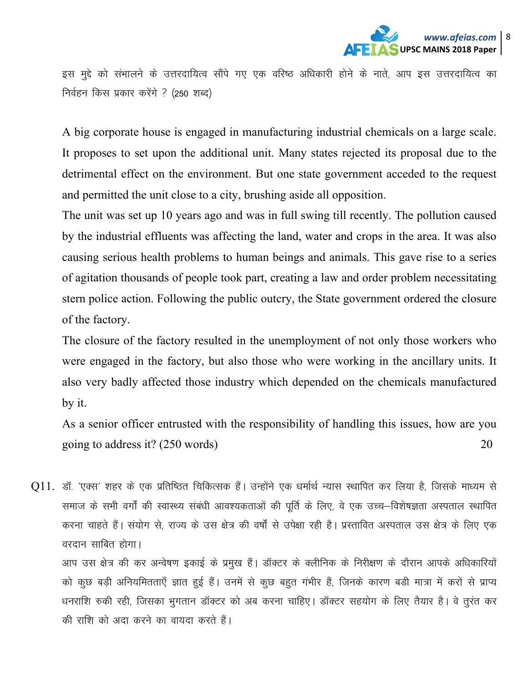

इस मुद्दे को संभालने के उत्तरदायित्व सौंपे गए एक वरिष्ठ अधिकारी होने के नाते, आप इस उत्तरदायित्व का निर्वहन किस प्रकार करेंगे ? (250 शब्द)

A big corporate house is engaged in manufacturing industrial chemicals on a large scale. It proposes to set upon the additional unit. Many states rejected its proposal due to the detrimental effect on the environment. But one state government acceded to the request and permitted the unit close to a city, brushing aside all opposition.

The unit was set up 10 years ago and was in full swing till recently. The pollution caused by the industrial effluents was affecting the land, water and crops in the area. It was also causing serious health problems to human beings and animals. This gave rise to a series of agitation thousands of people took part, creating a law and order problem necessitating stern police action. Following the public outcry, the State government ordered the closure of the factory.

The closure of the factory resulted in the unemployment of not only those workers who were engaged in the factory, but also those who were working in the ancillary units. It also very badly affected those industry which depended on the chemicals manufactured by it.

As a senior officer entrusted with the responsibility of handling this issues, how are you going to address it? (250 words) 20

Q11. डॉ. 'एक्स' शहर के एक प्रतिष्ठित चिकित्सक हैं। उन्होंने एक धर्मार्थ न्यास स्थापित कर लिया है, जिसके माध्यम से समाज के सभी वर्गों की स्वास्थ्य संबंधी आवश्यकताओं की पूर्ति के लिए, वे एक उच्च-विशेषज्ञता अस्पताल स्थापित करना चाहते हैं। संयोग से, राज्य के उस क्षेत्र की वर्षों से उपेक्षा रही है। प्रस्तावित अस्पताल उस क्षेत्र के लिए एक वरदान साबित होगा। आप उस क्षेत्र की कर अन्वेषण इकाई के प्रमुख हैं। डॉक्टर के क्लीनिक के निरीक्षण के दौरान आपके अधिकारियों को कूछ बड़ी अनियमितताएँ ज्ञात हुई हैं। उनमें से कूछ बहुत गंभीर हैं, जिनके कारण बड़ी मात्रा में करों से प्राप्य धनराशि रुकी रही, जिसका भुगतान डॉक्टर को अब करना चाहिए। डॉक्टर सहयोग के लिए तैयार है। वे तुरंत कर की राशि को अदा करने का वायदा करते हैं।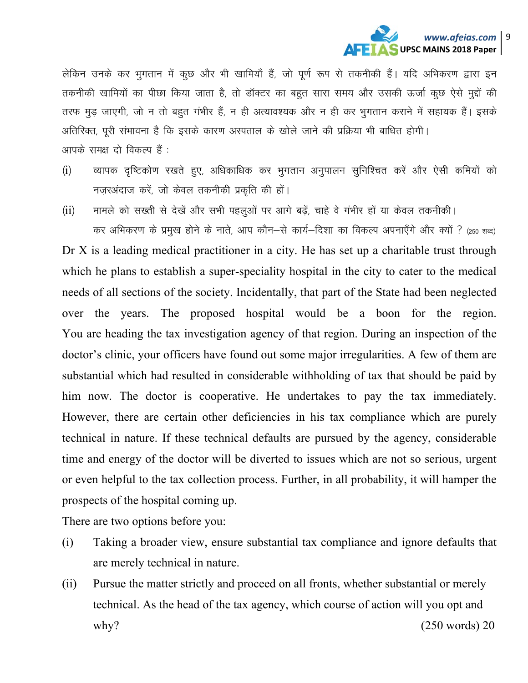

लेकिन उनके कर भुगतान में कूछ और भी खामियाँ हैं, जो पूर्ण रूप से तकनीकी हैं। यदि अभिकरण द्वारा इन तकनीकी खामियों का पीछा किया जाता है, तो डॉक्टर का बहुत सारा समय और उसकी ऊर्जा कूछ ऐसे मुद्दों की तरफ मुड़ जाएगी, जो न तो बहुत गंभीर हैं, न ही अत्यावश्यक और न ही कर भुगतान कराने में सहायक हैं। इसके अतिरिक्त, पूरी संभावना है कि इसके कारण अस्पताल के खोले जाने की प्रक्रिया भी बाधित होगी। आपके समक्ष दो विकल्प हैं :

- (i) व्यापक दृष्टिकोण रखते हुए, अधिकाधिक कर भुगतान अनुपालन सुनिश्चित करें और ऐसी कमियों को नज़रअंदाज करें, जो केवल तकनीकी प्रकृति की हों।
- (ii) मामले को सख्ती से देखें और सभी पहलुओं पर आगे बढ़ें, चाहे वे गंभीर हों या केवल तकनीकी। कर अभिकरण के प्रमुख होने के नाते, आप कौन–से कार्य–दिशा का विकल्प अपनाएँगे और क्यों ? (250 शब्द)

Dr X is a leading medical practitioner in a city. He has set up a charitable trust through which he plans to establish a super-speciality hospital in the city to cater to the medical needs of all sections of the society. Incidentally, that part of the State had been neglected over the years. The proposed hospital would be a boon for the region. You are heading the tax investigation agency of that region. During an inspection of the doctor's clinic, your officers have found out some major irregularities. A few of them are substantial which had resulted in considerable withholding of tax that should be paid by him now. The doctor is cooperative. He undertakes to pay the tax immediately. However, there are certain other deficiencies in his tax compliance which are purely technical in nature. If these technical defaults are pursued by the agency, considerable time and energy of the doctor will be diverted to issues which are not so serious, urgent or even helpful to the tax collection process. Further, in all probability, it will hamper the prospects of the hospital coming up.

There are two options before you:

- (i) Taking a broader view, ensure substantial tax compliance and ignore defaults that are merely technical in nature.
- (ii) Pursue the matter strictly and proceed on all fronts, whether substantial or merely technical. As the head of the tax agency, which course of action will you opt and why?  $(250 \text{ words}) 20$